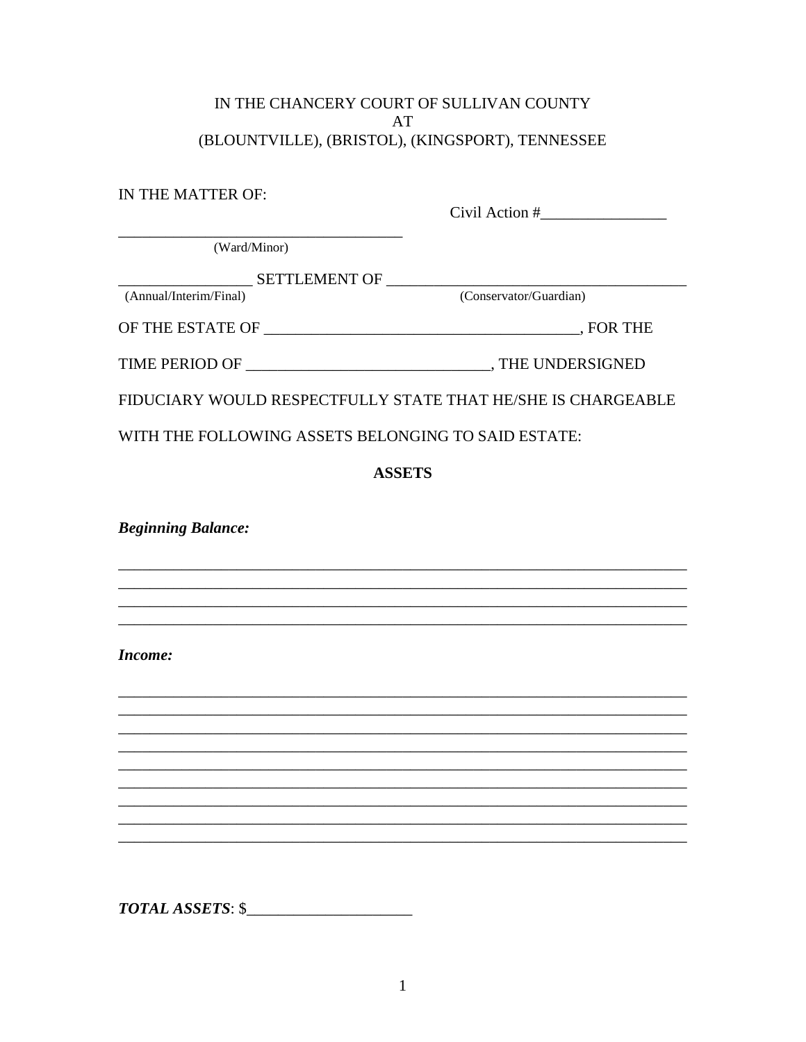# IN THE CHANCERY COURT OF SULLIVAN COUNTY AT (BLOUNTVILLE), (BRISTOL), (KINGSPORT), TENNESSEE

| IN THE MATTER OF:                                   |                                                              |
|-----------------------------------------------------|--------------------------------------------------------------|
|                                                     | Civil Action #                                               |
| (Ward/Minor)                                        |                                                              |
|                                                     |                                                              |
| (Annual/Interim/Final)                              | (Conservator/Guardian)                                       |
|                                                     |                                                              |
|                                                     |                                                              |
|                                                     | FIDUCIARY WOULD RESPECTFULLY STATE THAT HE/SHE IS CHARGEABLE |
| WITH THE FOLLOWING ASSETS BELONGING TO SAID ESTATE: |                                                              |
|                                                     | <b>ASSETS</b>                                                |
| <b>Beginning Balance:</b>                           |                                                              |
|                                                     |                                                              |
|                                                     |                                                              |
| Income:                                             |                                                              |
|                                                     |                                                              |
|                                                     |                                                              |
|                                                     |                                                              |
|                                                     |                                                              |
|                                                     |                                                              |
|                                                     |                                                              |

TOTAL ASSETS: \$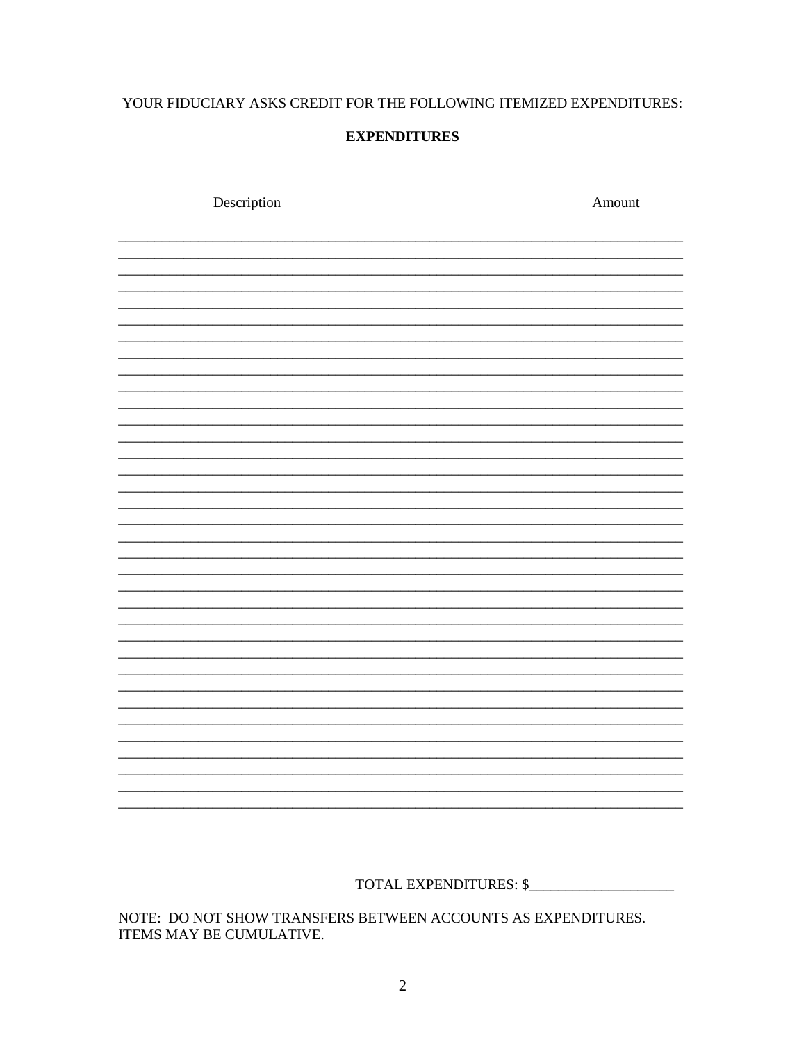# YOUR FIDUCIARY ASKS CREDIT FOR THE FOLLOWING ITEMIZED EXPENDITURES:

### **EXPENDITURES**

| Description | Amount |
|-------------|--------|
|             |        |
|             |        |
|             |        |
|             |        |
|             |        |
|             |        |
|             |        |
|             |        |
|             |        |
|             |        |
|             |        |
|             |        |
|             |        |
|             |        |

TOTAL EXPENDITURES: \$

NOTE: DO NOT SHOW TRANSFERS BETWEEN ACCOUNTS AS EXPENDITURES. **ITEMS MAY BE CUMULATIVE.**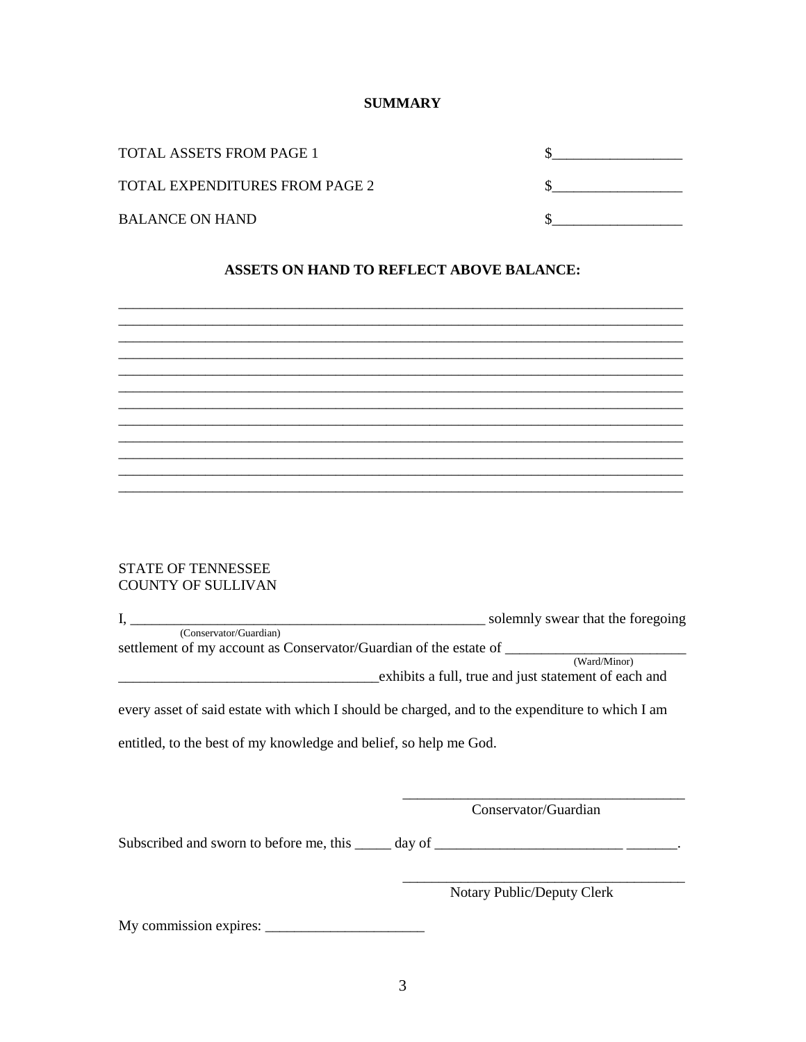### **SUMMARY**

| TOTAL ASSETS FROM PAGE 1       |  |
|--------------------------------|--|
| TOTAL EXPENDITURES FROM PAGE 2 |  |
| <b>BALANCE ON HAND</b>         |  |

### **ASSETS ON HAND TO REFLECT ABOVE BALANCE:**

### **STATE OF TENNESSEE COUNTY OF SULLIVAN**

(Conservator/Guardian)<br>settlement of my account as Conservator/Guardian of the estate of <u>Conservator</u> (Ward/Minor) exhibits a full, true and just statement of each and every asset of said estate with which I should be charged, and to the expenditure to which I am

entitled, to the best of my knowledge and belief, so help me God.

Conservator/Guardian

Notary Public/Deputy Clerk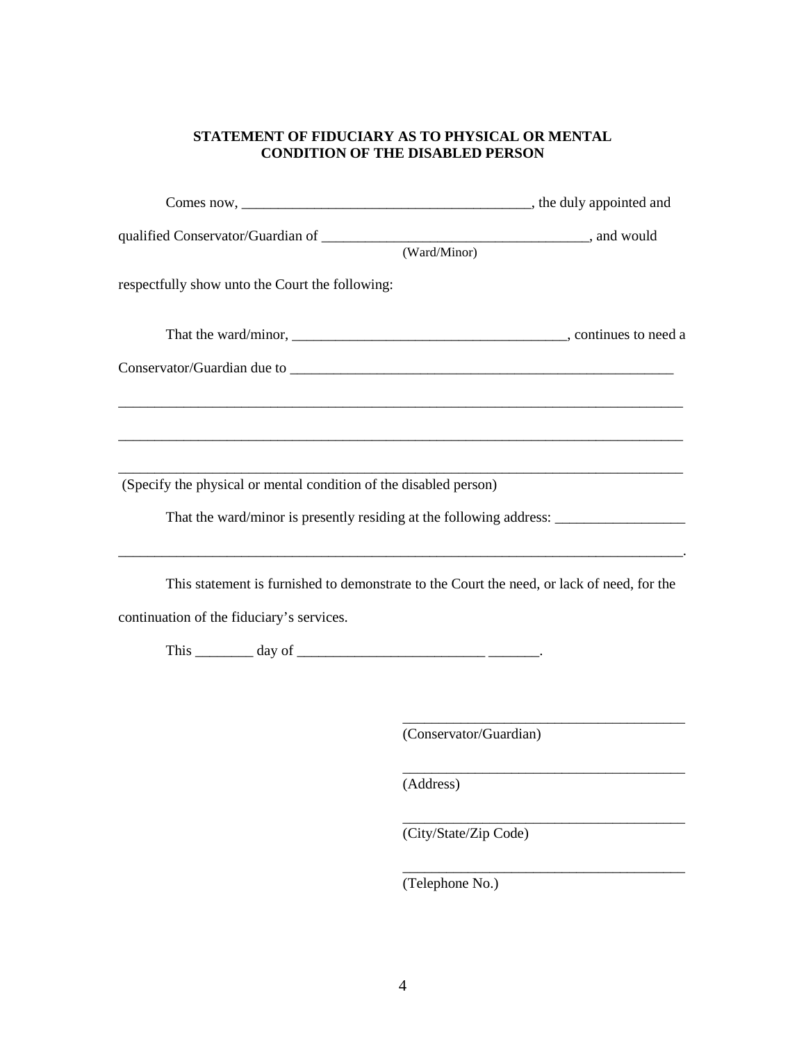## **STATEMENT OF FIDUCIARY AS TO PHYSICAL OR MENTAL CONDITION OF THE DISABLED PERSON**

|                                                                                                                                         | (Ward/Minor)           |  |
|-----------------------------------------------------------------------------------------------------------------------------------------|------------------------|--|
| respectfully show unto the Court the following:                                                                                         |                        |  |
|                                                                                                                                         |                        |  |
|                                                                                                                                         |                        |  |
|                                                                                                                                         |                        |  |
|                                                                                                                                         |                        |  |
| (Specify the physical or mental condition of the disabled person)                                                                       |                        |  |
| That the ward/minor is presently residing at the following address:                                                                     |                        |  |
| This statement is furnished to demonstrate to the Court the need, or lack of need, for the<br>continuation of the fiduciary's services. |                        |  |
| This $\_\_\_\_\_$ day of $\_\_\_\_\_\_\_\_$                                                                                             |                        |  |
|                                                                                                                                         |                        |  |
|                                                                                                                                         | (Conservator/Guardian) |  |
|                                                                                                                                         | (Address)              |  |

(City/State/Zip Code)

\_\_\_\_\_\_\_\_\_\_\_\_\_\_\_\_\_\_\_\_\_\_\_\_\_\_\_\_\_\_\_\_\_\_\_\_\_\_\_

\_\_\_\_\_\_\_\_\_\_\_\_\_\_\_\_\_\_\_\_\_\_\_\_\_\_\_\_\_\_\_\_\_\_\_\_\_\_\_

(Telephone No.)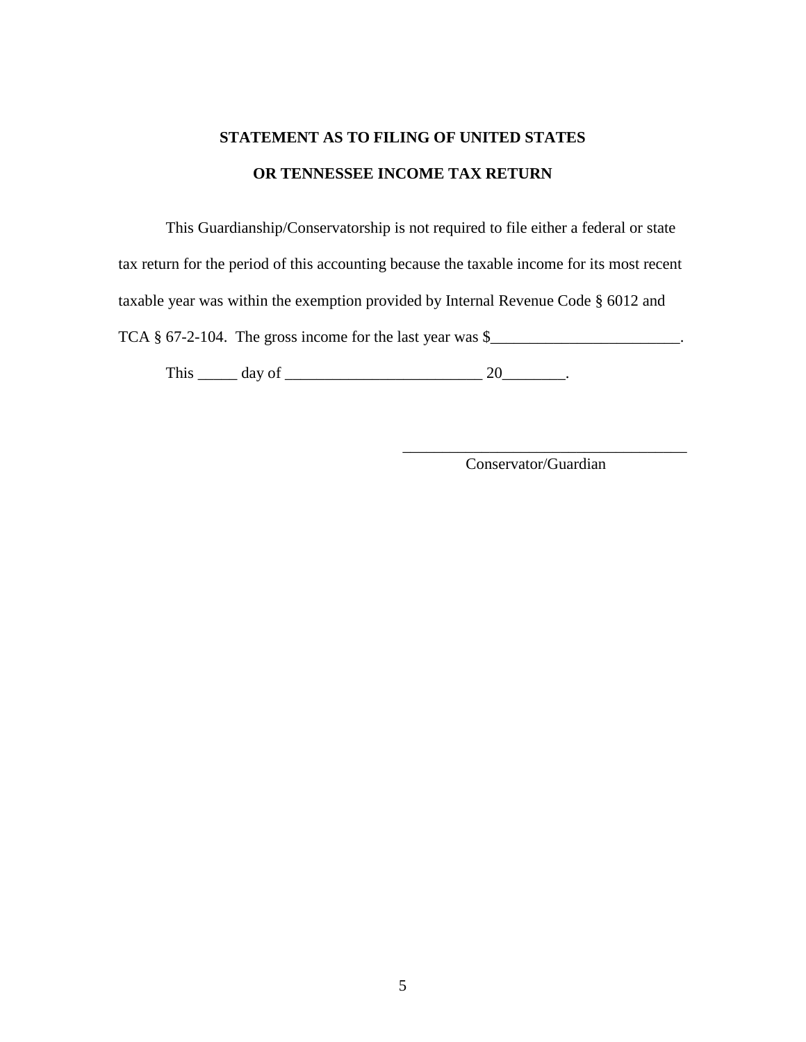# **STATEMENT AS TO FILING OF UNITED STATES OR TENNESSEE INCOME TAX RETURN**

This Guardianship/Conservatorship is not required to file either a federal or state tax return for the period of this accounting because the taxable income for its most recent taxable year was within the exemption provided by Internal Revenue Code § 6012 and TCA  $\S$  67-2-104. The gross income for the last year was  $\S$ 

This  $\_\_\_\_\$  day of  $\_\_\_\_\_\_\_\_\_\_$  20 $\_\_\_\_\_\_\_\_\_$ .

\_\_\_\_\_\_\_\_\_\_\_\_\_\_\_\_\_\_\_\_\_\_\_\_\_\_\_\_\_\_\_\_\_\_\_\_ Conservator/Guardian